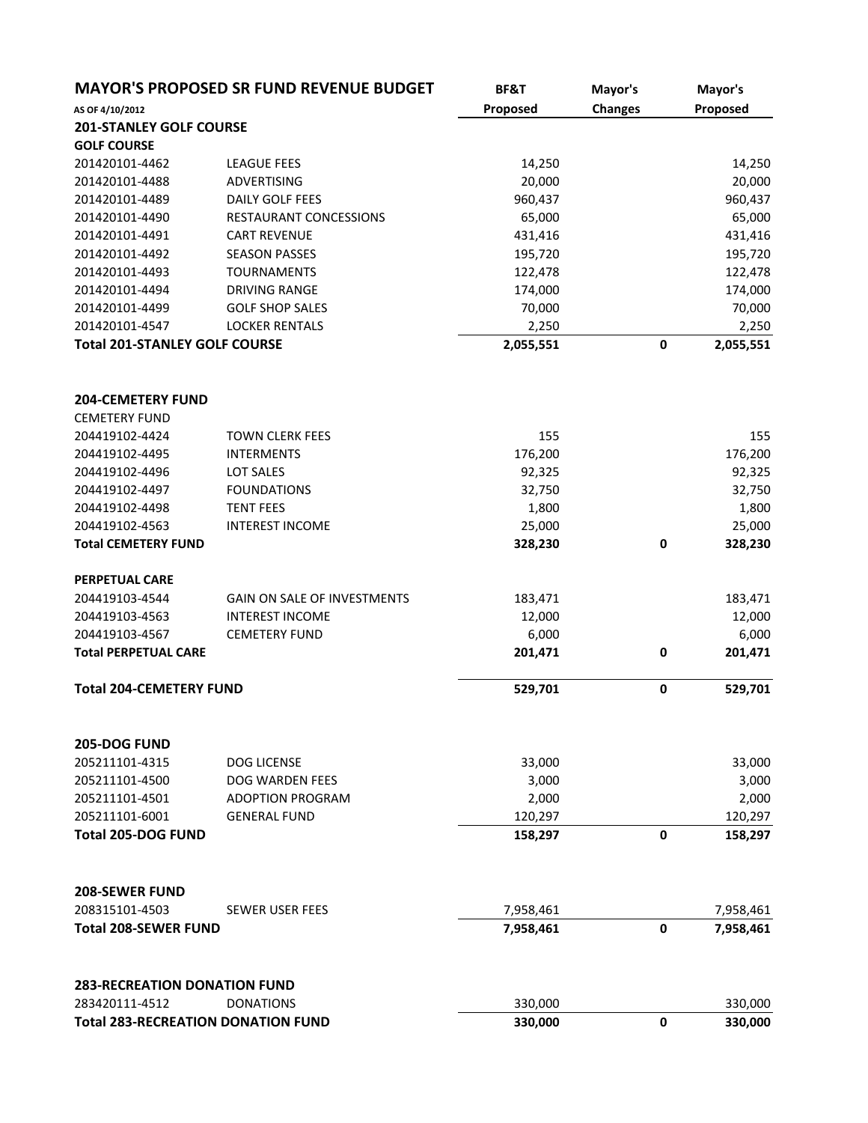| <b>Changes</b><br>Proposed<br>Proposed<br>AS OF 4/10/2012<br><b>201-STANLEY GOLF COURSE</b><br><b>GOLF COURSE</b><br>201420101-4462<br><b>LEAGUE FEES</b><br>14,250<br>201420101-4488<br>ADVERTISING<br>20,000<br>201420101-4489<br>DAILY GOLF FEES<br>960,437<br>201420101-4490<br>RESTAURANT CONCESSIONS<br>65,000<br>201420101-4491<br>431,416<br><b>CART REVENUE</b><br>201420101-4492<br><b>SEASON PASSES</b><br>195,720<br>122,478<br>122,478<br>201420101-4493<br><b>TOURNAMENTS</b><br>201420101-4494<br>174,000<br>174,000<br><b>DRIVING RANGE</b><br>201420101-4499<br>70,000<br>70,000<br><b>GOLF SHOP SALES</b><br>201420101-4547<br>2,250<br>2,250<br><b>LOCKER RENTALS</b><br><b>Total 201-STANLEY GOLF COURSE</b><br>$\mathbf 0$<br>2,055,551<br>2,055,551<br><b>204-CEMETERY FUND</b><br><b>CEMETERY FUND</b><br>155<br>204419102-4424<br><b>TOWN CLERK FEES</b><br>155<br>176,200<br>176,200<br>204419102-4495<br><b>INTERMENTS</b><br>92,325<br>204419102-4496<br><b>LOT SALES</b><br>92,325<br>204419102-4497<br><b>FOUNDATIONS</b><br>32,750<br>32,750<br>204419102-4498<br><b>TENT FEES</b><br>1,800<br>1,800<br>25,000<br>204419102-4563<br><b>INTEREST INCOME</b><br>25,000<br><b>Total CEMETERY FUND</b><br>328,230<br>0<br><b>PERPETUAL CARE</b><br>204419103-4544<br><b>GAIN ON SALE OF INVESTMENTS</b><br>183,471<br><b>INTEREST INCOME</b><br>204419103-4563<br>12,000<br>204419103-4567<br><b>CEMETERY FUND</b><br>6,000<br><b>Total PERPETUAL CARE</b><br>201,471<br>$\mathbf 0$<br>201,471<br><b>Total 204-CEMETERY FUND</b><br>0<br>529,701<br><b>205-DOG FUND</b><br>205211101-4315<br><b>DOG LICENSE</b><br>33,000<br>33,000<br>205211101-4500<br>DOG WARDEN FEES<br>3,000<br>3,000<br>2,000<br>2,000<br>205211101-4501<br><b>ADOPTION PROGRAM</b><br>205211101-6001<br><b>GENERAL FUND</b><br>120,297<br>120,297<br><b>Total 205-DOG FUND</b><br>$\mathbf{0}$<br>158,297<br>158,297<br><b>208-SEWER FUND</b><br>208315101-4503<br><b>SEWER USER FEES</b><br>7,958,461<br><b>Total 208-SEWER FUND</b><br>0<br>7,958,461<br><b>283-RECREATION DONATION FUND</b><br>283420111-4512<br><b>DONATIONS</b><br>330,000<br>330,000<br><b>Total 283-RECREATION DONATION FUND</b><br>330,000<br>0<br>330,000 | <b>MAYOR'S PROPOSED SR FUND REVENUE BUDGET</b> | BF&T | Mayor's | Mayor's   |
|--------------------------------------------------------------------------------------------------------------------------------------------------------------------------------------------------------------------------------------------------------------------------------------------------------------------------------------------------------------------------------------------------------------------------------------------------------------------------------------------------------------------------------------------------------------------------------------------------------------------------------------------------------------------------------------------------------------------------------------------------------------------------------------------------------------------------------------------------------------------------------------------------------------------------------------------------------------------------------------------------------------------------------------------------------------------------------------------------------------------------------------------------------------------------------------------------------------------------------------------------------------------------------------------------------------------------------------------------------------------------------------------------------------------------------------------------------------------------------------------------------------------------------------------------------------------------------------------------------------------------------------------------------------------------------------------------------------------------------------------------------------------------------------------------------------------------------------------------------------------------------------------------------------------------------------------------------------------------------------------------------------------------------------------------------------------------------------------------------------------------------------------------------------------------------------------------------------------------------------|------------------------------------------------|------|---------|-----------|
|                                                                                                                                                                                                                                                                                                                                                                                                                                                                                                                                                                                                                                                                                                                                                                                                                                                                                                                                                                                                                                                                                                                                                                                                                                                                                                                                                                                                                                                                                                                                                                                                                                                                                                                                                                                                                                                                                                                                                                                                                                                                                                                                                                                                                                      |                                                |      |         |           |
|                                                                                                                                                                                                                                                                                                                                                                                                                                                                                                                                                                                                                                                                                                                                                                                                                                                                                                                                                                                                                                                                                                                                                                                                                                                                                                                                                                                                                                                                                                                                                                                                                                                                                                                                                                                                                                                                                                                                                                                                                                                                                                                                                                                                                                      |                                                |      |         |           |
|                                                                                                                                                                                                                                                                                                                                                                                                                                                                                                                                                                                                                                                                                                                                                                                                                                                                                                                                                                                                                                                                                                                                                                                                                                                                                                                                                                                                                                                                                                                                                                                                                                                                                                                                                                                                                                                                                                                                                                                                                                                                                                                                                                                                                                      |                                                |      |         |           |
|                                                                                                                                                                                                                                                                                                                                                                                                                                                                                                                                                                                                                                                                                                                                                                                                                                                                                                                                                                                                                                                                                                                                                                                                                                                                                                                                                                                                                                                                                                                                                                                                                                                                                                                                                                                                                                                                                                                                                                                                                                                                                                                                                                                                                                      |                                                |      |         | 14,250    |
|                                                                                                                                                                                                                                                                                                                                                                                                                                                                                                                                                                                                                                                                                                                                                                                                                                                                                                                                                                                                                                                                                                                                                                                                                                                                                                                                                                                                                                                                                                                                                                                                                                                                                                                                                                                                                                                                                                                                                                                                                                                                                                                                                                                                                                      |                                                |      |         | 20,000    |
|                                                                                                                                                                                                                                                                                                                                                                                                                                                                                                                                                                                                                                                                                                                                                                                                                                                                                                                                                                                                                                                                                                                                                                                                                                                                                                                                                                                                                                                                                                                                                                                                                                                                                                                                                                                                                                                                                                                                                                                                                                                                                                                                                                                                                                      |                                                |      |         | 960,437   |
|                                                                                                                                                                                                                                                                                                                                                                                                                                                                                                                                                                                                                                                                                                                                                                                                                                                                                                                                                                                                                                                                                                                                                                                                                                                                                                                                                                                                                                                                                                                                                                                                                                                                                                                                                                                                                                                                                                                                                                                                                                                                                                                                                                                                                                      |                                                |      |         | 65,000    |
|                                                                                                                                                                                                                                                                                                                                                                                                                                                                                                                                                                                                                                                                                                                                                                                                                                                                                                                                                                                                                                                                                                                                                                                                                                                                                                                                                                                                                                                                                                                                                                                                                                                                                                                                                                                                                                                                                                                                                                                                                                                                                                                                                                                                                                      |                                                |      |         | 431,416   |
|                                                                                                                                                                                                                                                                                                                                                                                                                                                                                                                                                                                                                                                                                                                                                                                                                                                                                                                                                                                                                                                                                                                                                                                                                                                                                                                                                                                                                                                                                                                                                                                                                                                                                                                                                                                                                                                                                                                                                                                                                                                                                                                                                                                                                                      |                                                |      |         | 195,720   |
|                                                                                                                                                                                                                                                                                                                                                                                                                                                                                                                                                                                                                                                                                                                                                                                                                                                                                                                                                                                                                                                                                                                                                                                                                                                                                                                                                                                                                                                                                                                                                                                                                                                                                                                                                                                                                                                                                                                                                                                                                                                                                                                                                                                                                                      |                                                |      |         |           |
|                                                                                                                                                                                                                                                                                                                                                                                                                                                                                                                                                                                                                                                                                                                                                                                                                                                                                                                                                                                                                                                                                                                                                                                                                                                                                                                                                                                                                                                                                                                                                                                                                                                                                                                                                                                                                                                                                                                                                                                                                                                                                                                                                                                                                                      |                                                |      |         |           |
|                                                                                                                                                                                                                                                                                                                                                                                                                                                                                                                                                                                                                                                                                                                                                                                                                                                                                                                                                                                                                                                                                                                                                                                                                                                                                                                                                                                                                                                                                                                                                                                                                                                                                                                                                                                                                                                                                                                                                                                                                                                                                                                                                                                                                                      |                                                |      |         |           |
|                                                                                                                                                                                                                                                                                                                                                                                                                                                                                                                                                                                                                                                                                                                                                                                                                                                                                                                                                                                                                                                                                                                                                                                                                                                                                                                                                                                                                                                                                                                                                                                                                                                                                                                                                                                                                                                                                                                                                                                                                                                                                                                                                                                                                                      |                                                |      |         |           |
|                                                                                                                                                                                                                                                                                                                                                                                                                                                                                                                                                                                                                                                                                                                                                                                                                                                                                                                                                                                                                                                                                                                                                                                                                                                                                                                                                                                                                                                                                                                                                                                                                                                                                                                                                                                                                                                                                                                                                                                                                                                                                                                                                                                                                                      |                                                |      |         |           |
|                                                                                                                                                                                                                                                                                                                                                                                                                                                                                                                                                                                                                                                                                                                                                                                                                                                                                                                                                                                                                                                                                                                                                                                                                                                                                                                                                                                                                                                                                                                                                                                                                                                                                                                                                                                                                                                                                                                                                                                                                                                                                                                                                                                                                                      |                                                |      |         |           |
|                                                                                                                                                                                                                                                                                                                                                                                                                                                                                                                                                                                                                                                                                                                                                                                                                                                                                                                                                                                                                                                                                                                                                                                                                                                                                                                                                                                                                                                                                                                                                                                                                                                                                                                                                                                                                                                                                                                                                                                                                                                                                                                                                                                                                                      |                                                |      |         |           |
|                                                                                                                                                                                                                                                                                                                                                                                                                                                                                                                                                                                                                                                                                                                                                                                                                                                                                                                                                                                                                                                                                                                                                                                                                                                                                                                                                                                                                                                                                                                                                                                                                                                                                                                                                                                                                                                                                                                                                                                                                                                                                                                                                                                                                                      |                                                |      |         |           |
|                                                                                                                                                                                                                                                                                                                                                                                                                                                                                                                                                                                                                                                                                                                                                                                                                                                                                                                                                                                                                                                                                                                                                                                                                                                                                                                                                                                                                                                                                                                                                                                                                                                                                                                                                                                                                                                                                                                                                                                                                                                                                                                                                                                                                                      |                                                |      |         |           |
|                                                                                                                                                                                                                                                                                                                                                                                                                                                                                                                                                                                                                                                                                                                                                                                                                                                                                                                                                                                                                                                                                                                                                                                                                                                                                                                                                                                                                                                                                                                                                                                                                                                                                                                                                                                                                                                                                                                                                                                                                                                                                                                                                                                                                                      |                                                |      |         |           |
|                                                                                                                                                                                                                                                                                                                                                                                                                                                                                                                                                                                                                                                                                                                                                                                                                                                                                                                                                                                                                                                                                                                                                                                                                                                                                                                                                                                                                                                                                                                                                                                                                                                                                                                                                                                                                                                                                                                                                                                                                                                                                                                                                                                                                                      |                                                |      |         |           |
|                                                                                                                                                                                                                                                                                                                                                                                                                                                                                                                                                                                                                                                                                                                                                                                                                                                                                                                                                                                                                                                                                                                                                                                                                                                                                                                                                                                                                                                                                                                                                                                                                                                                                                                                                                                                                                                                                                                                                                                                                                                                                                                                                                                                                                      |                                                |      |         |           |
|                                                                                                                                                                                                                                                                                                                                                                                                                                                                                                                                                                                                                                                                                                                                                                                                                                                                                                                                                                                                                                                                                                                                                                                                                                                                                                                                                                                                                                                                                                                                                                                                                                                                                                                                                                                                                                                                                                                                                                                                                                                                                                                                                                                                                                      |                                                |      |         |           |
|                                                                                                                                                                                                                                                                                                                                                                                                                                                                                                                                                                                                                                                                                                                                                                                                                                                                                                                                                                                                                                                                                                                                                                                                                                                                                                                                                                                                                                                                                                                                                                                                                                                                                                                                                                                                                                                                                                                                                                                                                                                                                                                                                                                                                                      |                                                |      |         | 328,230   |
|                                                                                                                                                                                                                                                                                                                                                                                                                                                                                                                                                                                                                                                                                                                                                                                                                                                                                                                                                                                                                                                                                                                                                                                                                                                                                                                                                                                                                                                                                                                                                                                                                                                                                                                                                                                                                                                                                                                                                                                                                                                                                                                                                                                                                                      |                                                |      |         |           |
|                                                                                                                                                                                                                                                                                                                                                                                                                                                                                                                                                                                                                                                                                                                                                                                                                                                                                                                                                                                                                                                                                                                                                                                                                                                                                                                                                                                                                                                                                                                                                                                                                                                                                                                                                                                                                                                                                                                                                                                                                                                                                                                                                                                                                                      |                                                |      |         | 183,471   |
|                                                                                                                                                                                                                                                                                                                                                                                                                                                                                                                                                                                                                                                                                                                                                                                                                                                                                                                                                                                                                                                                                                                                                                                                                                                                                                                                                                                                                                                                                                                                                                                                                                                                                                                                                                                                                                                                                                                                                                                                                                                                                                                                                                                                                                      |                                                |      |         | 12,000    |
|                                                                                                                                                                                                                                                                                                                                                                                                                                                                                                                                                                                                                                                                                                                                                                                                                                                                                                                                                                                                                                                                                                                                                                                                                                                                                                                                                                                                                                                                                                                                                                                                                                                                                                                                                                                                                                                                                                                                                                                                                                                                                                                                                                                                                                      |                                                |      |         | 6,000     |
|                                                                                                                                                                                                                                                                                                                                                                                                                                                                                                                                                                                                                                                                                                                                                                                                                                                                                                                                                                                                                                                                                                                                                                                                                                                                                                                                                                                                                                                                                                                                                                                                                                                                                                                                                                                                                                                                                                                                                                                                                                                                                                                                                                                                                                      |                                                |      |         |           |
|                                                                                                                                                                                                                                                                                                                                                                                                                                                                                                                                                                                                                                                                                                                                                                                                                                                                                                                                                                                                                                                                                                                                                                                                                                                                                                                                                                                                                                                                                                                                                                                                                                                                                                                                                                                                                                                                                                                                                                                                                                                                                                                                                                                                                                      |                                                |      |         | 529,701   |
|                                                                                                                                                                                                                                                                                                                                                                                                                                                                                                                                                                                                                                                                                                                                                                                                                                                                                                                                                                                                                                                                                                                                                                                                                                                                                                                                                                                                                                                                                                                                                                                                                                                                                                                                                                                                                                                                                                                                                                                                                                                                                                                                                                                                                                      |                                                |      |         |           |
|                                                                                                                                                                                                                                                                                                                                                                                                                                                                                                                                                                                                                                                                                                                                                                                                                                                                                                                                                                                                                                                                                                                                                                                                                                                                                                                                                                                                                                                                                                                                                                                                                                                                                                                                                                                                                                                                                                                                                                                                                                                                                                                                                                                                                                      |                                                |      |         |           |
|                                                                                                                                                                                                                                                                                                                                                                                                                                                                                                                                                                                                                                                                                                                                                                                                                                                                                                                                                                                                                                                                                                                                                                                                                                                                                                                                                                                                                                                                                                                                                                                                                                                                                                                                                                                                                                                                                                                                                                                                                                                                                                                                                                                                                                      |                                                |      |         |           |
|                                                                                                                                                                                                                                                                                                                                                                                                                                                                                                                                                                                                                                                                                                                                                                                                                                                                                                                                                                                                                                                                                                                                                                                                                                                                                                                                                                                                                                                                                                                                                                                                                                                                                                                                                                                                                                                                                                                                                                                                                                                                                                                                                                                                                                      |                                                |      |         |           |
|                                                                                                                                                                                                                                                                                                                                                                                                                                                                                                                                                                                                                                                                                                                                                                                                                                                                                                                                                                                                                                                                                                                                                                                                                                                                                                                                                                                                                                                                                                                                                                                                                                                                                                                                                                                                                                                                                                                                                                                                                                                                                                                                                                                                                                      |                                                |      |         |           |
|                                                                                                                                                                                                                                                                                                                                                                                                                                                                                                                                                                                                                                                                                                                                                                                                                                                                                                                                                                                                                                                                                                                                                                                                                                                                                                                                                                                                                                                                                                                                                                                                                                                                                                                                                                                                                                                                                                                                                                                                                                                                                                                                                                                                                                      |                                                |      |         |           |
|                                                                                                                                                                                                                                                                                                                                                                                                                                                                                                                                                                                                                                                                                                                                                                                                                                                                                                                                                                                                                                                                                                                                                                                                                                                                                                                                                                                                                                                                                                                                                                                                                                                                                                                                                                                                                                                                                                                                                                                                                                                                                                                                                                                                                                      |                                                |      |         |           |
|                                                                                                                                                                                                                                                                                                                                                                                                                                                                                                                                                                                                                                                                                                                                                                                                                                                                                                                                                                                                                                                                                                                                                                                                                                                                                                                                                                                                                                                                                                                                                                                                                                                                                                                                                                                                                                                                                                                                                                                                                                                                                                                                                                                                                                      |                                                |      |         |           |
|                                                                                                                                                                                                                                                                                                                                                                                                                                                                                                                                                                                                                                                                                                                                                                                                                                                                                                                                                                                                                                                                                                                                                                                                                                                                                                                                                                                                                                                                                                                                                                                                                                                                                                                                                                                                                                                                                                                                                                                                                                                                                                                                                                                                                                      |                                                |      |         | 7,958,461 |
|                                                                                                                                                                                                                                                                                                                                                                                                                                                                                                                                                                                                                                                                                                                                                                                                                                                                                                                                                                                                                                                                                                                                                                                                                                                                                                                                                                                                                                                                                                                                                                                                                                                                                                                                                                                                                                                                                                                                                                                                                                                                                                                                                                                                                                      |                                                |      |         | 7,958,461 |
|                                                                                                                                                                                                                                                                                                                                                                                                                                                                                                                                                                                                                                                                                                                                                                                                                                                                                                                                                                                                                                                                                                                                                                                                                                                                                                                                                                                                                                                                                                                                                                                                                                                                                                                                                                                                                                                                                                                                                                                                                                                                                                                                                                                                                                      |                                                |      |         |           |
|                                                                                                                                                                                                                                                                                                                                                                                                                                                                                                                                                                                                                                                                                                                                                                                                                                                                                                                                                                                                                                                                                                                                                                                                                                                                                                                                                                                                                                                                                                                                                                                                                                                                                                                                                                                                                                                                                                                                                                                                                                                                                                                                                                                                                                      |                                                |      |         |           |
|                                                                                                                                                                                                                                                                                                                                                                                                                                                                                                                                                                                                                                                                                                                                                                                                                                                                                                                                                                                                                                                                                                                                                                                                                                                                                                                                                                                                                                                                                                                                                                                                                                                                                                                                                                                                                                                                                                                                                                                                                                                                                                                                                                                                                                      |                                                |      |         |           |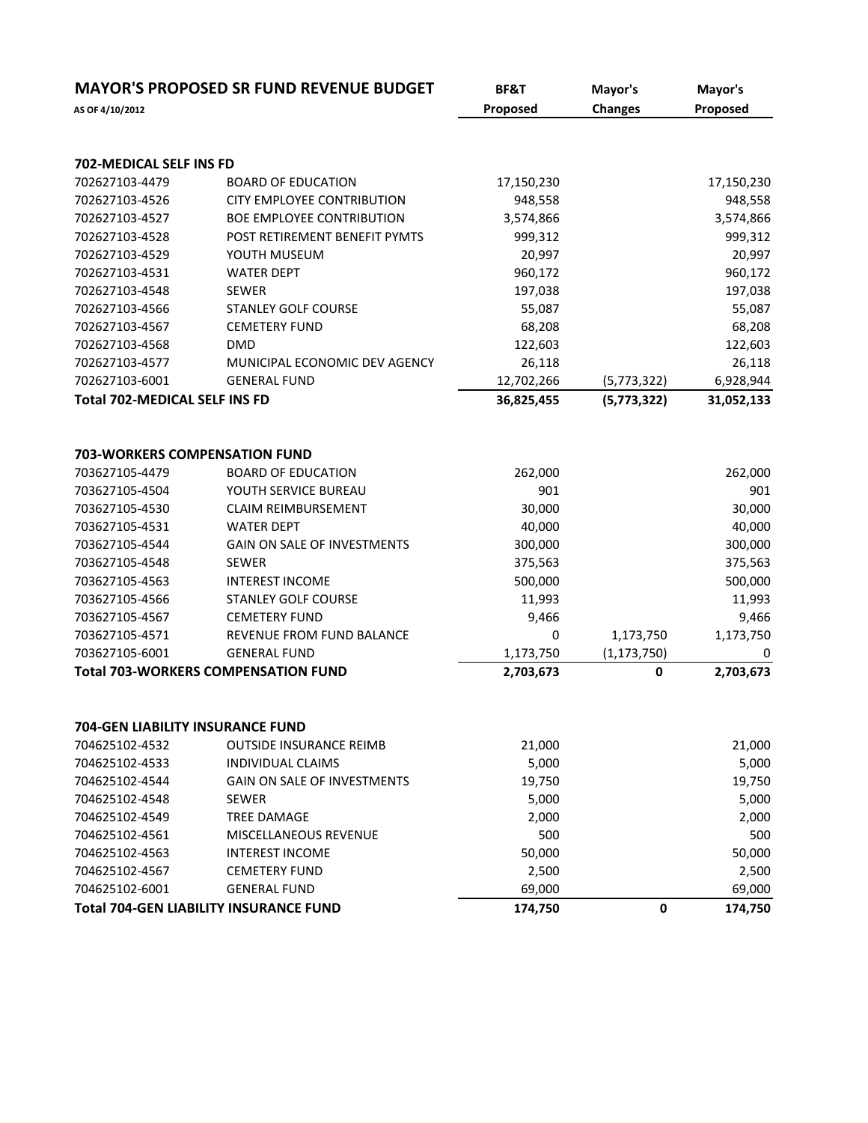|                                         | <b>MAYOR'S PROPOSED SR FUND REVENUE BUDGET</b> | BF&T         | Mayor's        | Mayor's      |
|-----------------------------------------|------------------------------------------------|--------------|----------------|--------------|
| AS OF 4/10/2012                         |                                                | Proposed     | <b>Changes</b> | Proposed     |
|                                         |                                                |              |                |              |
| 702-MEDICAL SELF INS FD                 |                                                |              |                |              |
| 702627103-4479                          | <b>BOARD OF EDUCATION</b>                      | 17,150,230   |                | 17,150,230   |
| 702627103-4526                          | <b>CITY EMPLOYEE CONTRIBUTION</b>              | 948,558      |                | 948,558      |
| 702627103-4527                          | <b>BOE EMPLOYEE CONTRIBUTION</b>               | 3,574,866    |                | 3,574,866    |
| 702627103-4528                          | POST RETIREMENT BENEFIT PYMTS                  | 999,312      |                | 999,312      |
| 702627103-4529                          | YOUTH MUSEUM                                   | 20,997       |                | 20,997       |
| 702627103-4531                          | <b>WATER DEPT</b>                              | 960,172      |                | 960,172      |
| 702627103-4548                          | <b>SEWER</b>                                   | 197,038      |                | 197,038      |
| 702627103-4566                          | <b>STANLEY GOLF COURSE</b>                     | 55,087       |                | 55,087       |
| 702627103-4567                          | <b>CEMETERY FUND</b>                           | 68,208       |                | 68,208       |
| 702627103-4568                          | <b>DMD</b>                                     | 122,603      |                | 122,603      |
| 702627103-4577                          | MUNICIPAL ECONOMIC DEV AGENCY                  | 26,118       |                | 26,118       |
| 702627103-6001                          | <b>GENERAL FUND</b>                            | 12,702,266   | (5,773,322)    | 6,928,944    |
| <b>Total 702-MEDICAL SELF INS FD</b>    |                                                | 36,825,455   | (5,773,322)    | 31,052,133   |
|                                         |                                                |              |                |              |
| <b>703-WORKERS COMPENSATION FUND</b>    |                                                |              |                |              |
| 703627105-4479                          | <b>BOARD OF EDUCATION</b>                      | 262,000      |                | 262,000      |
| 703627105-4504                          | YOUTH SERVICE BUREAU                           | 901          |                | 901          |
| 703627105-4530                          | <b>CLAIM REIMBURSEMENT</b>                     | 30,000       |                | 30,000       |
| 703627105-4531                          | <b>WATER DEPT</b>                              | 40,000       |                | 40,000       |
| 703627105-4544                          | <b>GAIN ON SALE OF INVESTMENTS</b>             | 300,000      |                | 300,000      |
| 703627105-4548                          | <b>SEWER</b>                                   | 375,563      |                | 375,563      |
| 703627105-4563                          | <b>INTEREST INCOME</b>                         | 500,000      |                | 500,000      |
| 703627105-4566                          | <b>STANLEY GOLF COURSE</b>                     | 11,993       |                | 11,993       |
| 703627105-4567                          | <b>CEMETERY FUND</b>                           | 9,466        |                | 9,466        |
| 703627105-4571                          | REVENUE FROM FUND BALANCE                      | 0            | 1,173,750      | 1,173,750    |
| 703627105-6001                          | <b>GENERAL FUND</b>                            | 1,173,750    | (1, 173, 750)  | 0            |
|                                         | <b>Total 703-WORKERS COMPENSATION FUND</b>     | 2,703,673    | 0              | 2,703,673    |
| <b>704-GEN LIABILITY INSURANCE FUND</b> |                                                |              |                |              |
| 704625102-4532                          | <b>OUTSIDE INSURANCE REIMB</b>                 | 21,000       |                | 21,000       |
| 704625102-4533                          | <b>INDIVIDUAL CLAIMS</b>                       | 5,000        |                | 5,000        |
| 704625102-4544                          | <b>GAIN ON SALE OF INVESTMENTS</b>             | 19,750       |                | 19,750       |
| 704625102-4548                          | <b>SEWER</b>                                   | 5,000        |                | 5,000        |
|                                         | <b>TREE DAMAGE</b>                             |              |                |              |
| 704625102-4549<br>704625102-4561        | MISCELLANEOUS REVENUE                          | 2,000<br>500 |                | 2,000<br>500 |
|                                         | <b>INTEREST INCOME</b>                         | 50,000       |                |              |
| 704625102-4563                          |                                                |              |                | 50,000       |
| 704625102-4567                          | <b>CEMETERY FUND</b>                           | 2,500        |                | 2,500        |
| 704625102-6001                          | <b>GENERAL FUND</b>                            | 69,000       |                | 69,000       |
|                                         | <b>Total 704-GEN LIABILITY INSURANCE FUND</b>  | 174,750      | $\mathbf 0$    | 174,750      |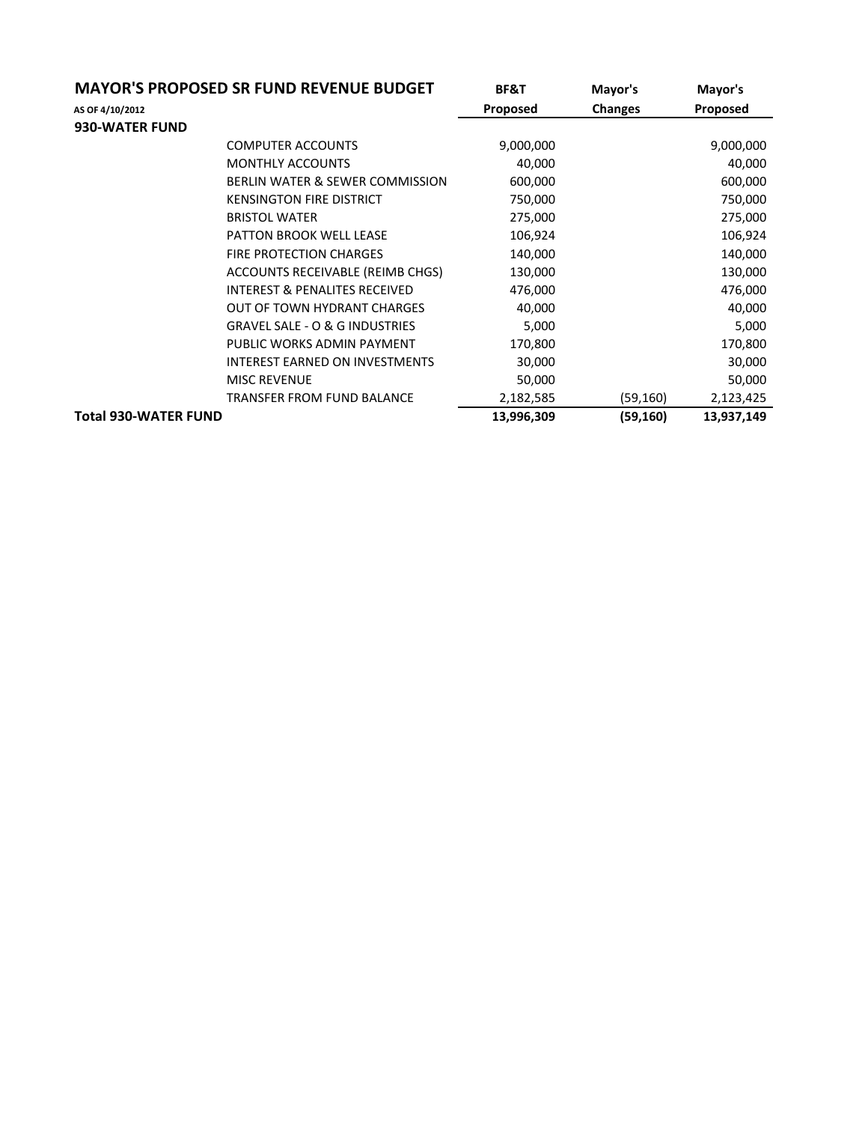| <b>MAYOR'S PROPOSED SR FUND REVENUE BUDGET</b> |                                            | BF&T       | Mayor's        | Mayor's    |
|------------------------------------------------|--------------------------------------------|------------|----------------|------------|
| AS OF 4/10/2012                                |                                            | Proposed   | <b>Changes</b> | Proposed   |
| 930-WATER FUND                                 |                                            |            |                |            |
|                                                | <b>COMPUTER ACCOUNTS</b>                   | 9,000,000  |                | 9,000,000  |
|                                                | <b>MONTHLY ACCOUNTS</b>                    | 40,000     |                | 40,000     |
|                                                | <b>BERLIN WATER &amp; SEWER COMMISSION</b> | 600,000    |                | 600,000    |
|                                                | <b>KENSINGTON FIRE DISTRICT</b>            | 750,000    |                | 750,000    |
|                                                | <b>BRISTOL WATER</b>                       | 275,000    |                | 275,000    |
|                                                | <b>PATTON BROOK WELL LEASE</b>             | 106,924    |                | 106,924    |
|                                                | <b>FIRE PROTECTION CHARGES</b>             | 140,000    |                | 140,000    |
|                                                | ACCOUNTS RECEIVABLE (REIMB CHGS)           | 130,000    |                | 130,000    |
|                                                | <b>INTEREST &amp; PENALITES RECEIVED</b>   | 476,000    |                | 476,000    |
|                                                | <b>OUT OF TOWN HYDRANT CHARGES</b>         | 40,000     |                | 40,000     |
|                                                | <b>GRAVEL SALE - O &amp; G INDUSTRIES</b>  | 5,000      |                | 5,000      |
|                                                | PUBLIC WORKS ADMIN PAYMENT                 | 170,800    |                | 170,800    |
|                                                | <b>INTEREST EARNED ON INVESTMENTS</b>      | 30,000     |                | 30,000     |
|                                                | <b>MISC REVENUE</b>                        | 50,000     |                | 50,000     |
|                                                | TRANSFER FROM FUND BALANCE                 | 2,182,585  | (59,160)       | 2,123,425  |
| <b>Total 930-WATER FUND</b>                    |                                            | 13,996,309 | (59,160)       | 13,937,149 |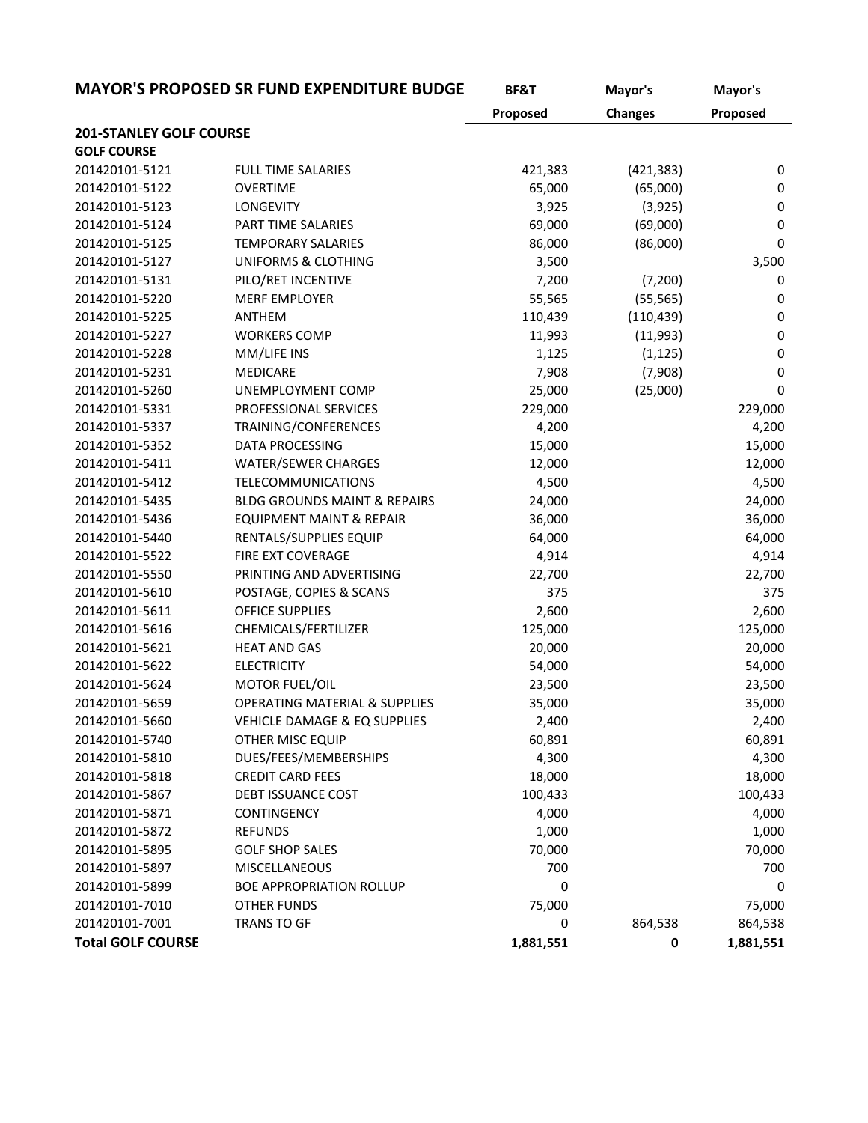|                                | <b>MAYOR'S PROPOSED SR FUND EXPENDITURE BUDGE</b> | BF&T      | Mayor's        | Mayor's          |
|--------------------------------|---------------------------------------------------|-----------|----------------|------------------|
|                                |                                                   | Proposed  | <b>Changes</b> | Proposed         |
| <b>201-STANLEY GOLF COURSE</b> |                                                   |           |                |                  |
| <b>GOLF COURSE</b>             |                                                   |           |                |                  |
| 201420101-5121                 | <b>FULL TIME SALARIES</b>                         | 421,383   | (421, 383)     | 0                |
| 201420101-5122                 | <b>OVERTIME</b>                                   | 65,000    | (65,000)       | $\boldsymbol{0}$ |
| 201420101-5123                 | <b>LONGEVITY</b>                                  | 3,925     | (3,925)        | 0                |
| 201420101-5124                 | PART TIME SALARIES                                | 69,000    | (69,000)       | 0                |
| 201420101-5125                 | <b>TEMPORARY SALARIES</b>                         | 86,000    | (86,000)       | $\Omega$         |
| 201420101-5127                 | UNIFORMS & CLOTHING                               | 3,500     |                | 3,500            |
| 201420101-5131                 | PILO/RET INCENTIVE                                | 7,200     | (7,200)        | 0                |
| 201420101-5220                 | <b>MERF EMPLOYER</b>                              | 55,565    | (55, 565)      | $\mathbf 0$      |
| 201420101-5225                 | ANTHEM                                            | 110,439   | (110, 439)     | 0                |
| 201420101-5227                 | <b>WORKERS COMP</b>                               | 11,993    | (11,993)       | 0                |
| 201420101-5228                 | MM/LIFE INS                                       | 1,125     | (1, 125)       | $\boldsymbol{0}$ |
| 201420101-5231                 | <b>MEDICARE</b>                                   | 7,908     | (7,908)        | 0                |
| 201420101-5260                 | UNEMPLOYMENT COMP                                 | 25,000    | (25,000)       | $\Omega$         |
| 201420101-5331                 | PROFESSIONAL SERVICES                             | 229,000   |                | 229,000          |
| 201420101-5337                 | TRAINING/CONFERENCES                              | 4,200     |                | 4,200            |
| 201420101-5352                 | <b>DATA PROCESSING</b>                            | 15,000    |                | 15,000           |
| 201420101-5411                 | <b>WATER/SEWER CHARGES</b>                        | 12,000    |                | 12,000           |
| 201420101-5412                 | <b>TELECOMMUNICATIONS</b>                         | 4,500     |                | 4,500            |
| 201420101-5435                 | <b>BLDG GROUNDS MAINT &amp; REPAIRS</b>           | 24,000    |                | 24,000           |
| 201420101-5436                 | <b>EQUIPMENT MAINT &amp; REPAIR</b>               | 36,000    |                | 36,000           |
| 201420101-5440                 | RENTALS/SUPPLIES EQUIP                            | 64,000    |                | 64,000           |
| 201420101-5522                 | FIRE EXT COVERAGE                                 | 4,914     |                | 4,914            |
| 201420101-5550                 | PRINTING AND ADVERTISING                          | 22,700    |                | 22,700           |
| 201420101-5610                 | POSTAGE, COPIES & SCANS                           | 375       |                | 375              |
| 201420101-5611                 | <b>OFFICE SUPPLIES</b>                            | 2,600     |                | 2,600            |
| 201420101-5616                 | CHEMICALS/FERTILIZER                              | 125,000   |                | 125,000          |
| 201420101-5621                 | <b>HEAT AND GAS</b>                               | 20,000    |                | 20,000           |
| 201420101-5622                 | <b>ELECTRICITY</b>                                | 54,000    |                | 54,000           |
| 201420101-5624                 | MOTOR FUEL/OIL                                    | 23,500    |                | 23,500           |
| 201420101-5659                 | <b>OPERATING MATERIAL &amp; SUPPLIES</b>          | 35,000    |                | 35,000           |
| 201420101-5660                 | <b>VEHICLE DAMAGE &amp; EQ SUPPLIES</b>           | 2,400     |                | 2,400            |
| 201420101-5740                 | OTHER MISC EQUIP                                  | 60,891    |                | 60,891           |
| 201420101-5810                 | DUES/FEES/MEMBERSHIPS                             | 4,300     |                | 4,300            |
| 201420101-5818                 | <b>CREDIT CARD FEES</b>                           | 18,000    |                | 18,000           |
| 201420101-5867                 | DEBT ISSUANCE COST                                | 100,433   |                | 100,433          |
| 201420101-5871                 | CONTINGENCY                                       | 4,000     |                | 4,000            |
| 201420101-5872                 | <b>REFUNDS</b>                                    | 1,000     |                | 1,000            |
| 201420101-5895                 | <b>GOLF SHOP SALES</b>                            | 70,000    |                | 70,000           |
| 201420101-5897                 | MISCELLANEOUS                                     | 700       |                | 700              |
| 201420101-5899                 | <b>BOE APPROPRIATION ROLLUP</b>                   | 0         |                | 0                |
| 201420101-7010                 | <b>OTHER FUNDS</b>                                | 75,000    |                | 75,000           |
| 201420101-7001                 | <b>TRANS TO GF</b>                                | 0         | 864,538        | 864,538          |
| <b>Total GOLF COURSE</b>       |                                                   | 1,881,551 | 0              | 1,881,551        |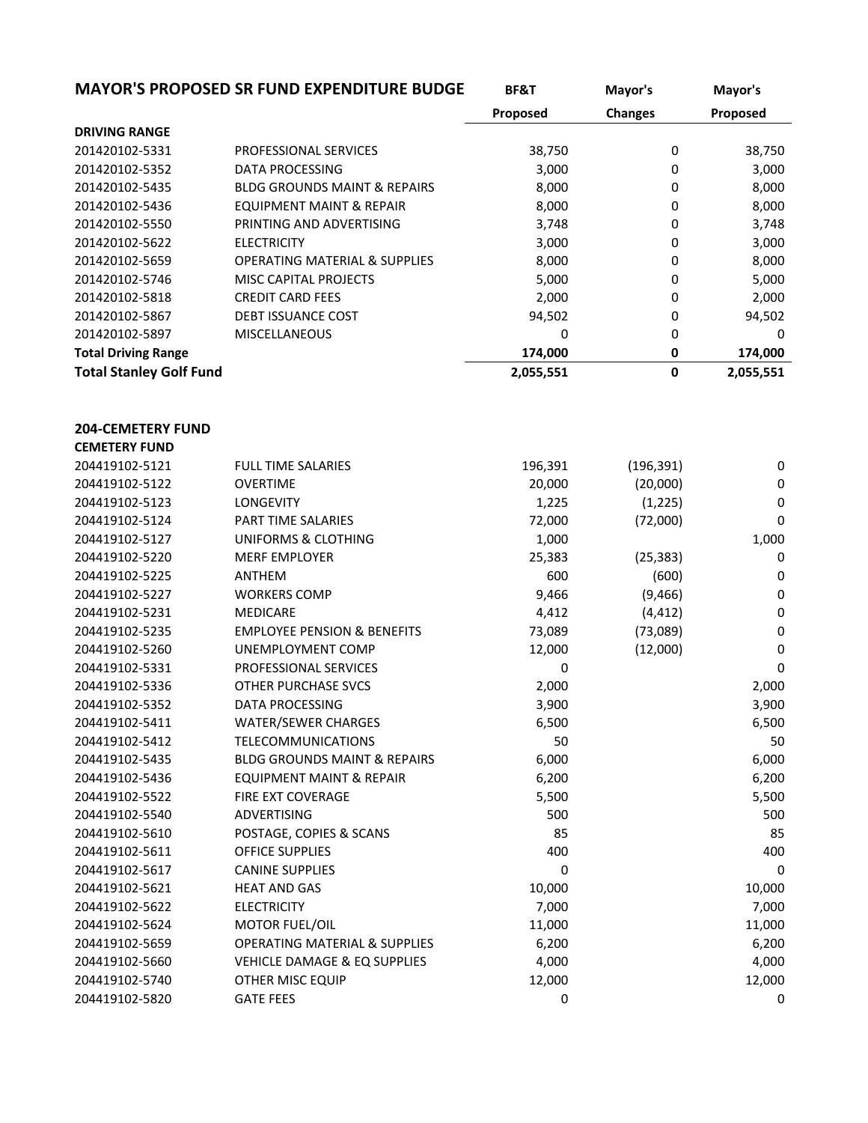## MAYOR'S PROPOSED SR FUND EXPENDITURE BUDGE BERT Mayor's Mayor's Mayor's

|                                | MATUR 3 PROPOSED SR FOND EAPENDITURE BODGE | <b>BF&amp;I</b> | iviayor s      | iviayor s |
|--------------------------------|--------------------------------------------|-----------------|----------------|-----------|
|                                |                                            | Proposed        | <b>Changes</b> | Proposed  |
| <b>DRIVING RANGE</b>           |                                            |                 |                |           |
| 201420102-5331                 | PROFESSIONAL SERVICES                      | 38,750          | 0              | 38,750    |
| 201420102-5352                 | DATA PROCESSING                            | 3,000           | 0              | 3,000     |
| 201420102-5435                 | <b>BLDG GROUNDS MAINT &amp; REPAIRS</b>    | 8,000           | 0              | 8,000     |
| 201420102-5436                 | <b>EQUIPMENT MAINT &amp; REPAIR</b>        | 8,000           | 0              | 8,000     |
| 201420102-5550                 | PRINTING AND ADVERTISING                   | 3,748           | 0              | 3,748     |
| 201420102-5622                 | <b>ELECTRICITY</b>                         | 3,000           | 0              | 3,000     |
| 201420102-5659                 | <b>OPERATING MATERIAL &amp; SUPPLIES</b>   | 8,000           | 0              | 8,000     |
| 201420102-5746                 | <b>MISC CAPITAL PROJECTS</b>               | 5,000           | 0              | 5,000     |
| 201420102-5818                 | <b>CREDIT CARD FEES</b>                    | 2,000           | 0              | 2,000     |
| 201420102-5867                 | <b>DEBT ISSUANCE COST</b>                  | 94,502          | 0              | 94,502    |
| 201420102-5897                 | <b>MISCELLANEOUS</b>                       | 0               | 0              | 0         |
| <b>Total Driving Range</b>     |                                            | 174,000         | 0              | 174,000   |
| <b>Total Stanley Golf Fund</b> |                                            | 2,055,551       | 0              | 2,055,551 |

## 204-CEMETERY FUND CEMETERY FUND

| 204419102-5121 | <b>FULL TIME SALARIES</b>                | 196,391  | (196, 391) | 0           |
|----------------|------------------------------------------|----------|------------|-------------|
| 204419102-5122 | <b>OVERTIME</b>                          | 20,000   | (20,000)   | 0           |
| 204419102-5123 | <b>LONGEVITY</b>                         | 1,225    | (1, 225)   | $\mathbf 0$ |
| 204419102-5124 | <b>PART TIME SALARIES</b>                | 72,000   | (72,000)   | 0           |
| 204419102-5127 | UNIFORMS & CLOTHING                      | 1,000    |            | 1,000       |
| 204419102-5220 | <b>MERF EMPLOYER</b>                     | 25,383   | (25, 383)  | 0           |
| 204419102-5225 | <b>ANTHEM</b>                            | 600      | (600)      | 0           |
| 204419102-5227 | <b>WORKERS COMP</b>                      | 9,466    | (9,466)    | 0           |
| 204419102-5231 | <b>MEDICARE</b>                          | 4,412    | (4, 412)   | 0           |
| 204419102-5235 | <b>EMPLOYEE PENSION &amp; BENEFITS</b>   | 73,089   | (73,089)   | 0           |
| 204419102-5260 | UNEMPLOYMENT COMP                        | 12,000   | (12,000)   | 0           |
| 204419102-5331 | PROFESSIONAL SERVICES                    | $\Omega$ |            | $\Omega$    |
| 204419102-5336 | <b>OTHER PURCHASE SVCS</b>               | 2,000    |            | 2,000       |
| 204419102-5352 | <b>DATA PROCESSING</b>                   | 3,900    |            | 3,900       |
| 204419102-5411 | <b>WATER/SEWER CHARGES</b>               | 6,500    |            | 6,500       |
| 204419102-5412 | <b>TELECOMMUNICATIONS</b>                | 50       |            | 50          |
| 204419102-5435 | <b>BLDG GROUNDS MAINT &amp; REPAIRS</b>  | 6,000    |            | 6,000       |
| 204419102-5436 | <b>EQUIPMENT MAINT &amp; REPAIR</b>      | 6,200    |            | 6,200       |
| 204419102-5522 | <b>FIRE EXT COVERAGE</b>                 | 5,500    |            | 5,500       |
| 204419102-5540 | <b>ADVERTISING</b>                       | 500      |            | 500         |
| 204419102-5610 | POSTAGE, COPIES & SCANS                  | 85       |            | 85          |
| 204419102-5611 | <b>OFFICE SUPPLIES</b>                   | 400      |            | 400         |
| 204419102-5617 | <b>CANINE SUPPLIES</b>                   | 0        |            | 0           |
| 204419102-5621 | <b>HEAT AND GAS</b>                      | 10,000   |            | 10,000      |
| 204419102-5622 | <b>ELECTRICITY</b>                       | 7,000    |            | 7,000       |
| 204419102-5624 | MOTOR FUEL/OIL                           | 11,000   |            | 11,000      |
| 204419102-5659 | <b>OPERATING MATERIAL &amp; SUPPLIES</b> | 6,200    |            | 6,200       |
| 204419102-5660 | VEHICLE DAMAGE & EQ SUPPLIES             | 4,000    |            | 4,000       |
| 204419102-5740 | OTHER MISC EQUIP                         | 12,000   |            | 12,000      |
| 204419102-5820 | <b>GATE FEES</b>                         | 0        |            | 0           |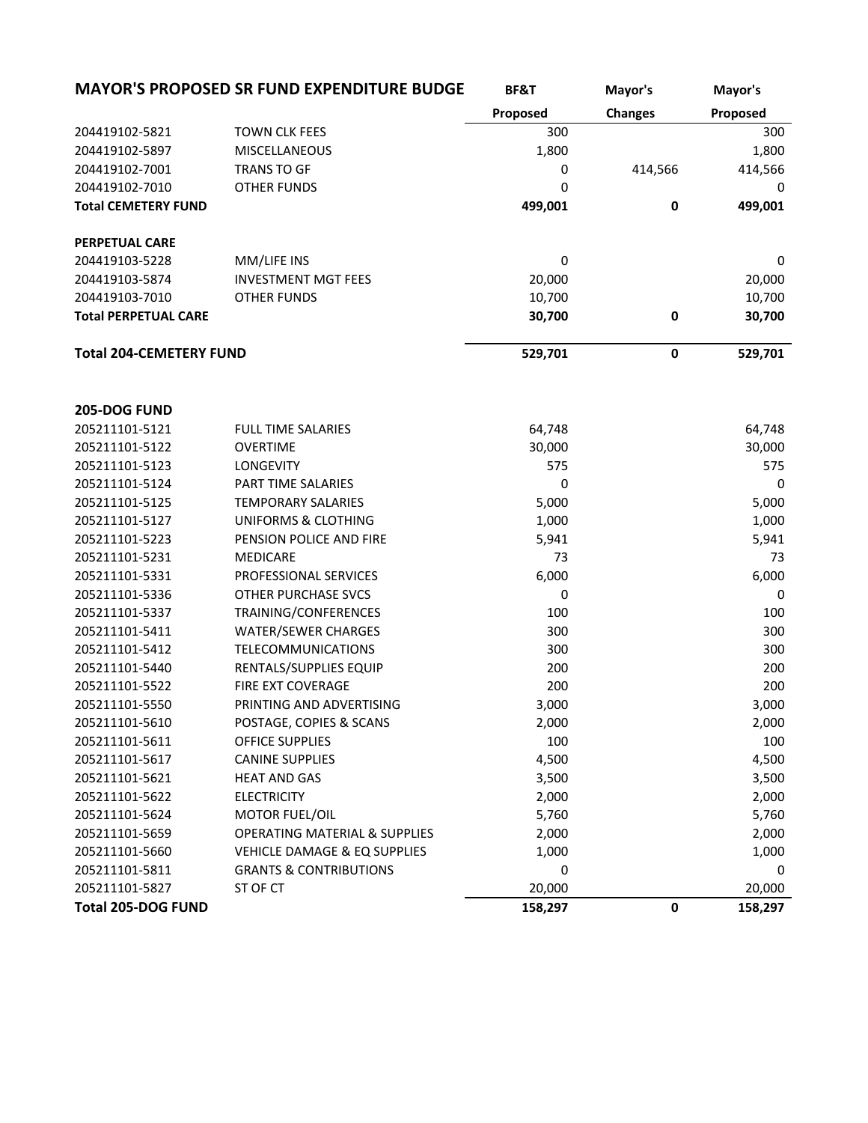|                                | <b>MAYOR'S PROPOSED SR FUND EXPENDITURE BUDGE</b> | BF&T      | Mayor's        | Mayor's  |
|--------------------------------|---------------------------------------------------|-----------|----------------|----------|
|                                |                                                   | Proposed  | <b>Changes</b> | Proposed |
| 204419102-5821                 | <b>TOWN CLK FEES</b>                              | 300       |                | 300      |
| 204419102-5897                 | <b>MISCELLANEOUS</b>                              | 1,800     |                | 1,800    |
| 204419102-7001                 | <b>TRANS TO GF</b>                                | 0         | 414,566        | 414,566  |
| 204419102-7010                 | <b>OTHER FUNDS</b>                                | 0         |                | 0        |
| <b>Total CEMETERY FUND</b>     |                                                   | 499,001   | 0              | 499,001  |
| <b>PERPETUAL CARE</b>          |                                                   |           |                |          |
| 204419103-5228                 | MM/LIFE INS                                       | 0         |                | 0        |
| 204419103-5874                 | <b>INVESTMENT MGT FEES</b>                        | 20,000    |                | 20,000   |
| 204419103-7010                 | <b>OTHER FUNDS</b>                                | 10,700    |                | 10,700   |
| <b>Total PERPETUAL CARE</b>    |                                                   | 30,700    | 0              | 30,700   |
| <b>Total 204-CEMETERY FUND</b> |                                                   | 529,701   | $\mathbf 0$    | 529,701  |
| 205-DOG FUND                   |                                                   |           |                |          |
| 205211101-5121                 | <b>FULL TIME SALARIES</b>                         | 64,748    |                | 64,748   |
| 205211101-5122                 | <b>OVERTIME</b>                                   | 30,000    |                | 30,000   |
| 205211101-5123                 | <b>LONGEVITY</b>                                  | 575       |                | 575      |
| 205211101-5124                 | PART TIME SALARIES                                | $\pmb{0}$ |                | 0        |
| 205211101-5125                 | <b>TEMPORARY SALARIES</b>                         | 5,000     |                | 5,000    |
| 205211101-5127                 | UNIFORMS & CLOTHING                               | 1,000     |                | 1,000    |
| 205211101-5223                 | PENSION POLICE AND FIRE                           | 5,941     |                | 5,941    |
| 205211101-5231                 | <b>MEDICARE</b>                                   | 73        |                | 73       |
| 205211101-5331                 | PROFESSIONAL SERVICES                             | 6,000     |                | 6,000    |
| 205211101-5336                 | <b>OTHER PURCHASE SVCS</b>                        | 0         |                | 0        |
| 205211101-5337                 | TRAINING/CONFERENCES                              | 100       |                | 100      |
| 205211101-5411                 | <b>WATER/SEWER CHARGES</b>                        | 300       |                | 300      |
| 205211101-5412                 | <b>TELECOMMUNICATIONS</b>                         | 300       |                | 300      |
| 205211101-5440                 | RENTALS/SUPPLIES EQUIP                            | 200       |                | 200      |
| 205211101-5522                 | FIRE EXT COVERAGE                                 | 200       |                | 200      |
| 205211101-5550                 | PRINTING AND ADVERTISING                          | 3,000     |                | 3,000    |
| 205211101-5610                 | POSTAGE, COPIES & SCANS                           | 2,000     |                | 2,000    |
| 205211101-5611                 | <b>OFFICE SUPPLIES</b>                            | 100       |                | 100      |
| 205211101-5617                 | <b>CANINE SUPPLIES</b>                            | 4,500     |                | 4,500    |
| 205211101-5621                 | <b>HEAT AND GAS</b>                               | 3,500     |                | 3,500    |
| 205211101-5622                 | <b>ELECTRICITY</b>                                | 2,000     |                | 2,000    |
| 205211101-5624                 | MOTOR FUEL/OIL                                    | 5,760     |                | 5,760    |
| 205211101-5659                 | <b>OPERATING MATERIAL &amp; SUPPLIES</b>          | 2,000     |                | 2,000    |
| 205211101-5660                 | <b>VEHICLE DAMAGE &amp; EQ SUPPLIES</b>           | 1,000     |                | 1,000    |
| 205211101-5811                 | <b>GRANTS &amp; CONTRIBUTIONS</b>                 | 0         |                | 0        |
| 205211101-5827                 | ST OF CT                                          | 20,000    |                | 20,000   |
| Total 205-DOG FUND             |                                                   | 158,297   | $\mathbf 0$    | 158,297  |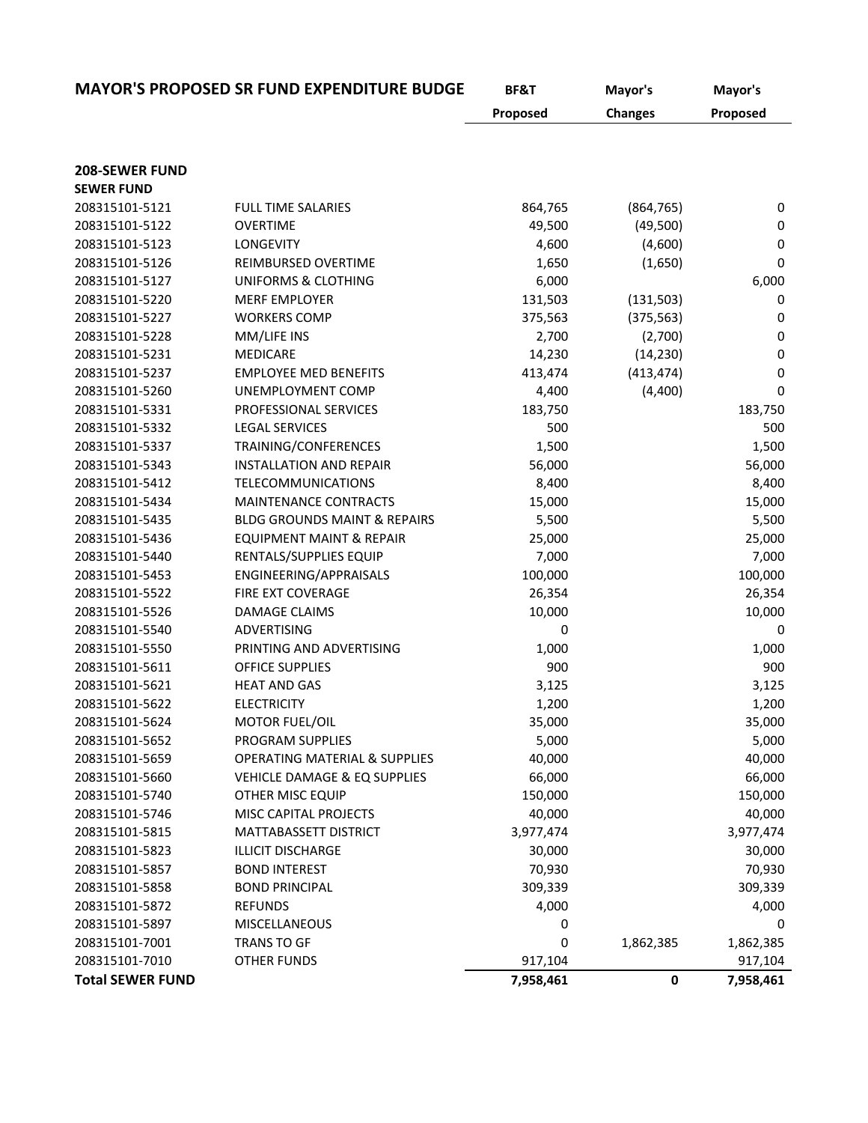|                                            | <b>MAYOR'S PROPOSED SR FUND EXPENDITURE BUDGE</b> | BF&T      | Mayor's        | Mayor's   |
|--------------------------------------------|---------------------------------------------------|-----------|----------------|-----------|
|                                            |                                                   | Proposed  | <b>Changes</b> | Proposed  |
|                                            |                                                   |           |                |           |
|                                            |                                                   |           |                |           |
| <b>208-SEWER FUND</b><br><b>SEWER FUND</b> |                                                   |           |                |           |
| 208315101-5121                             | <b>FULL TIME SALARIES</b>                         | 864,765   | (864, 765)     | 0         |
| 208315101-5122                             | <b>OVERTIME</b>                                   | 49,500    | (49,500)       | 0         |
| 208315101-5123                             | LONGEVITY                                         | 4,600     | (4,600)        | 0         |
| 208315101-5126                             | REIMBURSED OVERTIME                               | 1,650     | (1,650)        | 0         |
| 208315101-5127                             | <b>UNIFORMS &amp; CLOTHING</b>                    | 6,000     |                | 6,000     |
| 208315101-5220                             | <b>MERF EMPLOYER</b>                              | 131,503   | (131, 503)     | 0         |
| 208315101-5227                             | <b>WORKERS COMP</b>                               | 375,563   | (375, 563)     | 0         |
| 208315101-5228                             | MM/LIFE INS                                       | 2,700     | (2,700)        | 0         |
| 208315101-5231                             | <b>MEDICARE</b>                                   | 14,230    | (14, 230)      | 0         |
| 208315101-5237                             | <b>EMPLOYEE MED BENEFITS</b>                      | 413,474   | (413, 474)     | 0         |
| 208315101-5260                             | UNEMPLOYMENT COMP                                 | 4,400     | (4,400)        | 0         |
| 208315101-5331                             | PROFESSIONAL SERVICES                             | 183,750   |                | 183,750   |
| 208315101-5332                             | <b>LEGAL SERVICES</b>                             | 500       |                | 500       |
| 208315101-5337                             | TRAINING/CONFERENCES                              | 1,500     |                | 1,500     |
| 208315101-5343                             | <b>INSTALLATION AND REPAIR</b>                    | 56,000    |                | 56,000    |
| 208315101-5412                             | <b>TELECOMMUNICATIONS</b>                         | 8,400     |                | 8,400     |
| 208315101-5434                             | <b>MAINTENANCE CONTRACTS</b>                      | 15,000    |                | 15,000    |
| 208315101-5435                             | <b>BLDG GROUNDS MAINT &amp; REPAIRS</b>           | 5,500     |                | 5,500     |
| 208315101-5436                             | <b>EQUIPMENT MAINT &amp; REPAIR</b>               | 25,000    |                | 25,000    |
| 208315101-5440                             | RENTALS/SUPPLIES EQUIP                            | 7,000     |                | 7,000     |
| 208315101-5453                             | ENGINEERING/APPRAISALS                            | 100,000   |                | 100,000   |
| 208315101-5522                             | FIRE EXT COVERAGE                                 | 26,354    |                | 26,354    |
| 208315101-5526                             | <b>DAMAGE CLAIMS</b>                              | 10,000    |                | 10,000    |
| 208315101-5540                             | <b>ADVERTISING</b>                                | 0         |                | 0         |
| 208315101-5550                             | PRINTING AND ADVERTISING                          | 1,000     |                | 1,000     |
| 208315101-5611                             | <b>OFFICE SUPPLIES</b>                            | 900       |                | 900       |
| 208315101-5621                             | <b>HEAT AND GAS</b>                               | 3,125     |                | 3,125     |
| 208315101-5622                             | <b>ELECTRICITY</b>                                | 1,200     |                | 1,200     |
| 208315101-5624                             | MOTOR FUEL/OIL                                    | 35,000    |                | 35,000    |
| 208315101-5652                             | PROGRAM SUPPLIES                                  | 5,000     |                | 5,000     |
| 208315101-5659                             | <b>OPERATING MATERIAL &amp; SUPPLIES</b>          | 40,000    |                | 40,000    |
| 208315101-5660                             | VEHICLE DAMAGE & EQ SUPPLIES                      | 66,000    |                | 66,000    |
| 208315101-5740                             | OTHER MISC EQUIP                                  | 150,000   |                | 150,000   |
| 208315101-5746                             | MISC CAPITAL PROJECTS                             | 40,000    |                | 40,000    |
| 208315101-5815                             | MATTABASSETT DISTRICT                             | 3,977,474 |                | 3,977,474 |
| 208315101-5823                             | <b>ILLICIT DISCHARGE</b>                          | 30,000    |                | 30,000    |
| 208315101-5857                             | <b>BOND INTEREST</b>                              | 70,930    |                | 70,930    |
| 208315101-5858                             | <b>BOND PRINCIPAL</b>                             | 309,339   |                | 309,339   |
| 208315101-5872                             | <b>REFUNDS</b>                                    | 4,000     |                | 4,000     |
| 208315101-5897                             | MISCELLANEOUS                                     | 0         |                | 0         |
| 208315101-7001                             | TRANS TO GF                                       | 0         | 1,862,385      | 1,862,385 |
| 208315101-7010                             | <b>OTHER FUNDS</b>                                | 917,104   |                | 917,104   |
| <b>Total SEWER FUND</b>                    |                                                   | 7,958,461 | 0              | 7,958,461 |
|                                            |                                                   |           |                |           |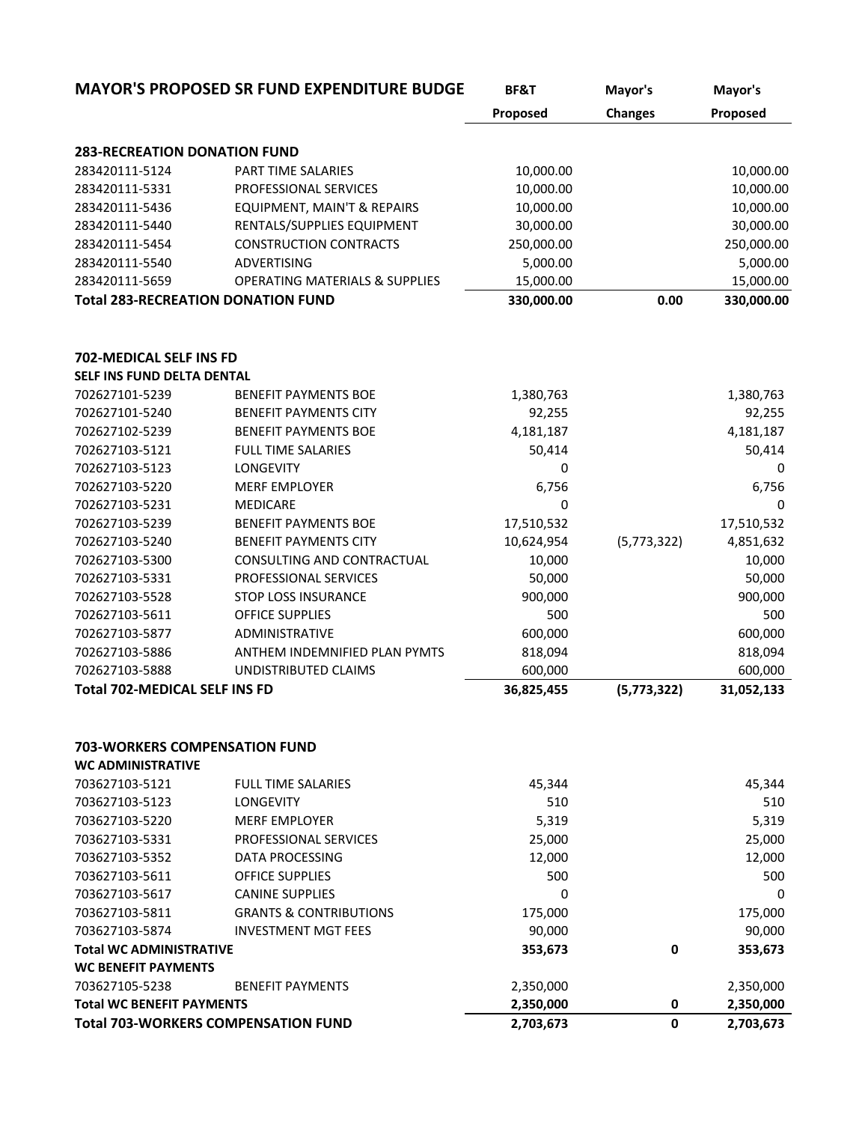|                                      | <b>MAYOR'S PROPOSED SR FUND EXPENDITURE BUDGE</b> | BF&T       | Mayor's        | Mayor's    |
|--------------------------------------|---------------------------------------------------|------------|----------------|------------|
|                                      |                                                   | Proposed   | <b>Changes</b> | Proposed   |
|                                      |                                                   |            |                |            |
| <b>283-RECREATION DONATION FUND</b>  |                                                   |            |                |            |
| 283420111-5124                       | <b>PART TIME SALARIES</b>                         | 10,000.00  |                | 10,000.00  |
| 283420111-5331                       | PROFESSIONAL SERVICES                             | 10,000.00  |                | 10,000.00  |
| 283420111-5436                       | EQUIPMENT, MAIN'T & REPAIRS                       | 10,000.00  |                | 10,000.00  |
| 283420111-5440                       | RENTALS/SUPPLIES EQUIPMENT                        | 30,000.00  |                | 30,000.00  |
| 283420111-5454                       | <b>CONSTRUCTION CONTRACTS</b>                     | 250,000.00 |                | 250,000.00 |
| 283420111-5540                       | ADVERTISING                                       | 5,000.00   |                | 5,000.00   |
| 283420111-5659                       | <b>OPERATING MATERIALS &amp; SUPPLIES</b>         | 15,000.00  |                | 15,000.00  |
|                                      | <b>Total 283-RECREATION DONATION FUND</b>         | 330,000.00 | 0.00           | 330,000.00 |
| 702-MEDICAL SELF INS FD              |                                                   |            |                |            |
| SELF INS FUND DELTA DENTAL           |                                                   |            |                |            |
| 702627101-5239                       | <b>BENEFIT PAYMENTS BOE</b>                       | 1,380,763  |                | 1,380,763  |
| 702627101-5240                       | <b>BENEFIT PAYMENTS CITY</b>                      | 92,255     |                | 92,255     |
| 702627102-5239                       | <b>BENEFIT PAYMENTS BOE</b>                       | 4,181,187  |                | 4,181,187  |
| 702627103-5121                       | <b>FULL TIME SALARIES</b>                         | 50,414     |                | 50,414     |
| 702627103-5123                       | <b>LONGEVITY</b>                                  | 0          |                | 0          |
| 702627103-5220                       | <b>MERF EMPLOYER</b>                              | 6,756      |                | 6,756      |
| 702627103-5231                       | <b>MEDICARE</b>                                   | 0          |                | 0          |
| 702627103-5239                       | <b>BENEFIT PAYMENTS BOE</b>                       | 17,510,532 |                | 17,510,532 |
| 702627103-5240                       | <b>BENEFIT PAYMENTS CITY</b>                      | 10,624,954 | (5,773,322)    | 4,851,632  |
| 702627103-5300                       | CONSULTING AND CONTRACTUAL                        | 10,000     |                | 10,000     |
| 702627103-5331                       | PROFESSIONAL SERVICES                             | 50,000     |                | 50,000     |
| 702627103-5528                       | <b>STOP LOSS INSURANCE</b>                        | 900,000    |                | 900,000    |
| 702627103-5611                       | <b>OFFICE SUPPLIES</b>                            | 500        |                | 500        |
| 702627103-5877                       | ADMINISTRATIVE                                    | 600,000    |                | 600,000    |
| 702627103-5886                       | ANTHEM INDEMNIFIED PLAN PYMTS                     | 818,094    |                | 818,094    |
| 702627103-5888                       | UNDISTRIBUTED CLAIMS                              | 600,000    |                | 600,000    |
| <b>Total 702-MEDICAL SELF INS FD</b> |                                                   | 36,825,455 | (5,773,322)    | 31,052,133 |
| <b>703-WORKERS COMPENSATION FUND</b> |                                                   |            |                |            |
| <b>WC ADMINISTRATIVE</b>             |                                                   |            |                |            |
| 703627103-5121                       | <b>FULL TIME SALARIES</b>                         | 45,344     |                | 45,344     |
| 703627103-5123                       | <b>LONGEVITY</b>                                  | 510        |                | 510        |
| 703627103-5220                       | <b>MERF EMPLOYER</b>                              | 5,319      |                | 5,319      |
| 703627103-5331                       | PROFESSIONAL SERVICES                             | 25,000     |                | 25,000     |
| 703627103-5352                       | DATA PROCESSING                                   | 12,000     |                | 12,000     |
| 703627103-5611                       | <b>OFFICE SUPPLIES</b>                            | 500        |                | 500        |
| 703627103-5617                       | <b>CANINE SUPPLIES</b>                            | 0          |                | 0          |
| 703627103-5811                       | <b>GRANTS &amp; CONTRIBUTIONS</b>                 | 175,000    |                | 175,000    |
| 703627103-5874                       | <b>INVESTMENT MGT FEES</b>                        | 90,000     |                | 90,000     |
| <b>Total WC ADMINISTRATIVE</b>       |                                                   | 353,673    | 0              | 353,673    |
| <b>WC BENEFIT PAYMENTS</b>           |                                                   |            |                |            |
| 703627105-5238                       | <b>BENEFIT PAYMENTS</b>                           | 2,350,000  |                | 2,350,000  |
| <b>Total WC BENEFIT PAYMENTS</b>     |                                                   | 2,350,000  | 0              | 2,350,000  |
|                                      |                                                   |            |                |            |

Total 703-WORKERS COMPENSATION FUND 2,703,673 0 2,703,673